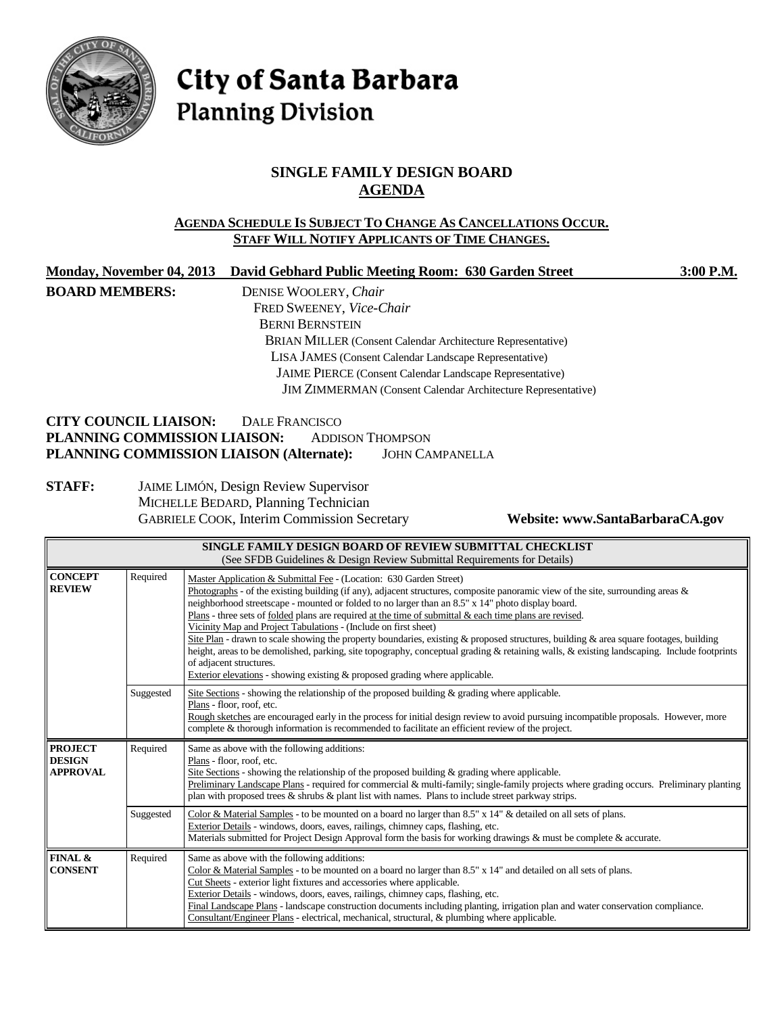

# City of Santa Barbara **Planning Division**

## **SINGLE FAMILY DESIGN BOARD AGENDA**

### **AGENDA SCHEDULE IS SUBJECT TO CHANGE AS CANCELLATIONS OCCUR. STAFF WILL NOTIFY APPLICANTS OF TIME CHANGES.**

| Monday, November 04, 2013                                    | David Gebhard Public Meeting Room: 630 Garden Street                | $3:00$ P.M. |
|--------------------------------------------------------------|---------------------------------------------------------------------|-------------|
| <b>BOARD MEMBERS:</b>                                        | DENISE WOOLERY, Chair                                               |             |
|                                                              | FRED SWEENEY, Vice-Chair                                            |             |
|                                                              | <b>BERNI BERNSTEIN</b>                                              |             |
|                                                              | <b>BRIAN MILLER</b> (Consent Calendar Architecture Representative)  |             |
|                                                              | LISA JAMES (Consent Calendar Landscape Representative)              |             |
|                                                              | <b>JAIME PIERCE</b> (Consent Calendar Landscape Representative)     |             |
|                                                              | <b>JIM ZIMMERMAN</b> (Consent Calendar Architecture Representative) |             |
| <b>CITY COUNCIL LIAISON:</b><br>PLANNING COMMISSION LIAISON: | DALE FRANCISCO<br><b>ADDISON THOMPSON</b>                           |             |
| PLANNING COMMISSION LIAISON (Alternate):                     | <b>JOHN CAMPANELLA</b>                                              |             |
| <b>STAFF:</b>                                                | <b>JAIME LIMÓN, Design Review Supervisor</b>                        |             |

**STAFF:** JAIME LIMÓN, Design Review Supervisor MICHELLE BEDARD, Planning Technician GABRIELE COOK, Interim Commission Secretary **Website: www.SantaBarbaraCA.gov**

|                                                                                                                                            |                                                                                                                                                                                                                                                                                                                                                                                                                                                                                                                                                                                                                                                                                                                                                                                                                                                                                                          | SINGLE FAMILY DESIGN BOARD OF REVIEW SUBMITTAL CHECKLIST<br>(See SFDB Guidelines & Design Review Submittal Requirements for Details)                                                                                                                                                                                                                                                                                                                                                                                                                             |
|--------------------------------------------------------------------------------------------------------------------------------------------|----------------------------------------------------------------------------------------------------------------------------------------------------------------------------------------------------------------------------------------------------------------------------------------------------------------------------------------------------------------------------------------------------------------------------------------------------------------------------------------------------------------------------------------------------------------------------------------------------------------------------------------------------------------------------------------------------------------------------------------------------------------------------------------------------------------------------------------------------------------------------------------------------------|------------------------------------------------------------------------------------------------------------------------------------------------------------------------------------------------------------------------------------------------------------------------------------------------------------------------------------------------------------------------------------------------------------------------------------------------------------------------------------------------------------------------------------------------------------------|
| <b>CONCEPT</b><br><b>REVIEW</b>                                                                                                            | Required<br>Master Application & Submittal Fee - (Location: 630 Garden Street)<br>Photographs - of the existing building (if any), adjacent structures, composite panoramic view of the site, surrounding areas &<br>neighborhood streetscape - mounted or folded to no larger than an 8.5" x 14" photo display board.<br>Plans - three sets of folded plans are required at the time of submittal & each time plans are revised.<br>Vicinity Map and Project Tabulations - (Include on first sheet)<br>Site Plan - drawn to scale showing the property boundaries, existing & proposed structures, building & area square footages, building<br>height, areas to be demolished, parking, site topography, conceptual grading & retaining walls, & existing landscaping. Include footprints<br>of adjacent structures.<br>Exterior elevations - showing existing $\&$ proposed grading where applicable. |                                                                                                                                                                                                                                                                                                                                                                                                                                                                                                                                                                  |
|                                                                                                                                            | Suggested                                                                                                                                                                                                                                                                                                                                                                                                                                                                                                                                                                                                                                                                                                                                                                                                                                                                                                | Site Sections - showing the relationship of the proposed building $\&$ grading where applicable.<br>Plans - floor, roof, etc.<br>Rough sketches are encouraged early in the process for initial design review to avoid pursuing incompatible proposals. However, more<br>complete & thorough information is recommended to facilitate an efficient review of the project.                                                                                                                                                                                        |
| Required<br><b>PROJECT</b><br>Same as above with the following additions:<br><b>DESIGN</b><br>Plans - floor, roof, etc.<br><b>APPROVAL</b> |                                                                                                                                                                                                                                                                                                                                                                                                                                                                                                                                                                                                                                                                                                                                                                                                                                                                                                          | Site Sections - showing the relationship of the proposed building $\&$ grading where applicable.<br>Preliminary Landscape Plans - required for commercial & multi-family; single-family projects where grading occurs. Preliminary planting<br>plan with proposed trees $\&$ shrubs $\&$ plant list with names. Plans to include street parkway strips.                                                                                                                                                                                                          |
|                                                                                                                                            | Suggested                                                                                                                                                                                                                                                                                                                                                                                                                                                                                                                                                                                                                                                                                                                                                                                                                                                                                                | Color & Material Samples - to be mounted on a board no larger than 8.5" x 14" & detailed on all sets of plans.<br>Exterior Details - windows, doors, eaves, railings, chimney caps, flashing, etc.<br>Materials submitted for Project Design Approval form the basis for working drawings & must be complete & accurate.                                                                                                                                                                                                                                         |
| FINAL &<br><b>CONSENT</b>                                                                                                                  | Required                                                                                                                                                                                                                                                                                                                                                                                                                                                                                                                                                                                                                                                                                                                                                                                                                                                                                                 | Same as above with the following additions:<br>Color & Material Samples - to be mounted on a board no larger than 8.5" x 14" and detailed on all sets of plans.<br>Cut Sheets - exterior light fixtures and accessories where applicable.<br>Exterior Details - windows, doors, eaves, railings, chimney caps, flashing, etc.<br>Final Landscape Plans - landscape construction documents including planting, irrigation plan and water conservation compliance.<br>Consultant/Engineer Plans - electrical, mechanical, structural, & plumbing where applicable. |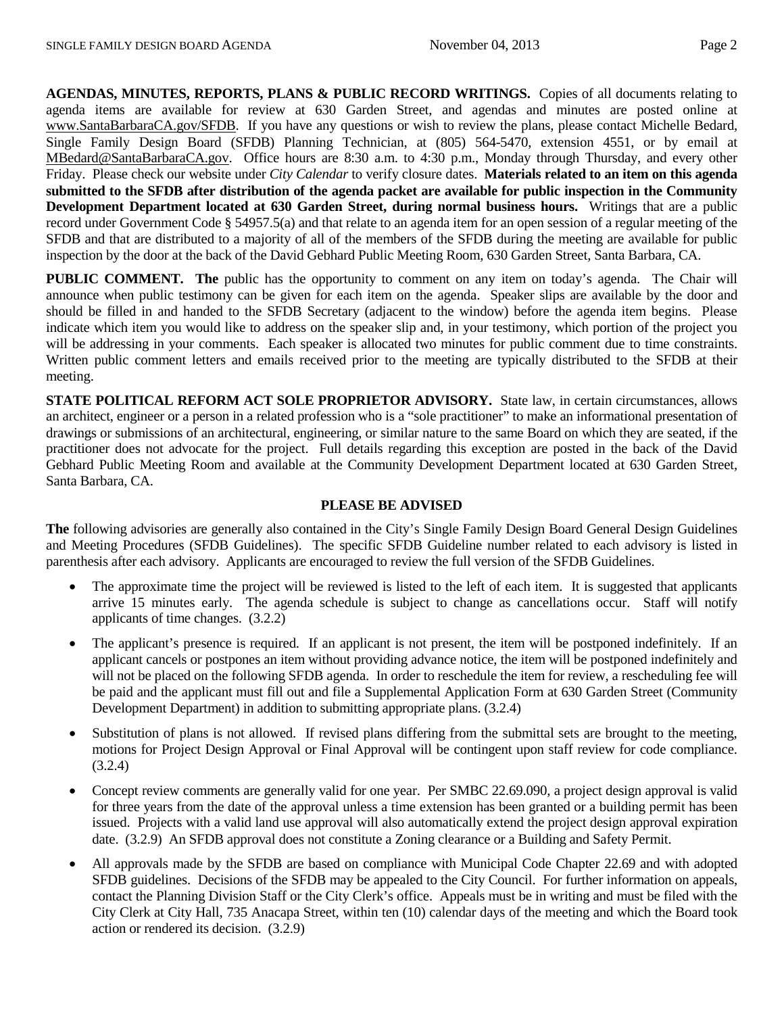**AGENDAS, MINUTES, REPORTS, PLANS & PUBLIC RECORD WRITINGS.** Copies of all documents relating to agenda items are available for review at 630 Garden Street, and agendas and minutes are posted online at [www.SantaBarbaraCA.gov/SFDB.](http://www.santabarbaraca.gov/ABR) If you have any questions or wish to review the plans, please contact Michelle Bedard, Single Family Design Board (SFDB) Planning Technician, at (805) 564-5470, extension 4551, or by email at [MBedard@SantaBarbaraCA.gov.](mailto:MBedard@SantaBarbaraCA.gov) Office hours are 8:30 a.m. to 4:30 p.m., Monday through Thursday, and every other Friday. Please check our website under *City Calendar* to verify closure dates. **Materials related to an item on this agenda submitted to the SFDB after distribution of the agenda packet are available for public inspection in the Community Development Department located at 630 Garden Street, during normal business hours.** Writings that are a public record under Government Code § 54957.5(a) and that relate to an agenda item for an open session of a regular meeting of the SFDB and that are distributed to a majority of all of the members of the SFDB during the meeting are available for public inspection by the door at the back of the David Gebhard Public Meeting Room, 630 Garden Street, Santa Barbara, CA.

**PUBLIC COMMENT. The** public has the opportunity to comment on any item on today's agenda. The Chair will announce when public testimony can be given for each item on the agenda. Speaker slips are available by the door and should be filled in and handed to the SFDB Secretary (adjacent to the window) before the agenda item begins. Please indicate which item you would like to address on the speaker slip and, in your testimony, which portion of the project you will be addressing in your comments. Each speaker is allocated two minutes for public comment due to time constraints. Written public comment letters and emails received prior to the meeting are typically distributed to the SFDB at their meeting.

**STATE POLITICAL REFORM ACT SOLE PROPRIETOR ADVISORY.** State law, in certain circumstances, allows an architect, engineer or a person in a related profession who is a "sole practitioner" to make an informational presentation of drawings or submissions of an architectural, engineering, or similar nature to the same Board on which they are seated, if the practitioner does not advocate for the project. Full details regarding this exception are posted in the back of the David Gebhard Public Meeting Room and available at the Community Development Department located at 630 Garden Street, Santa Barbara, CA.

#### **PLEASE BE ADVISED**

**The** following advisories are generally also contained in the City's Single Family Design Board General Design Guidelines and Meeting Procedures (SFDB Guidelines). The specific SFDB Guideline number related to each advisory is listed in parenthesis after each advisory. Applicants are encouraged to review the full version of the SFDB Guidelines.

- The approximate time the project will be reviewed is listed to the left of each item. It is suggested that applicants arrive 15 minutes early. The agenda schedule is subject to change as cancellations occur. Staff will notify applicants of time changes. (3.2.2)
- The applicant's presence is required. If an applicant is not present, the item will be postponed indefinitely. If an applicant cancels or postpones an item without providing advance notice, the item will be postponed indefinitely and will not be placed on the following SFDB agenda. In order to reschedule the item for review, a rescheduling fee will be paid and the applicant must fill out and file a Supplemental Application Form at 630 Garden Street (Community Development Department) in addition to submitting appropriate plans. (3.2.4)
- Substitution of plans is not allowed. If revised plans differing from the submittal sets are brought to the meeting, motions for Project Design Approval or Final Approval will be contingent upon staff review for code compliance. (3.2.4)
- Concept review comments are generally valid for one year. Per SMBC 22.69.090, a project design approval is valid for three years from the date of the approval unless a time extension has been granted or a building permit has been issued. Projects with a valid land use approval will also automatically extend the project design approval expiration date. (3.2.9) An SFDB approval does not constitute a Zoning clearance or a Building and Safety Permit.
- All approvals made by the SFDB are based on compliance with Municipal Code Chapter 22.69 and with adopted SFDB guidelines. Decisions of the SFDB may be appealed to the City Council. For further information on appeals, contact the Planning Division Staff or the City Clerk's office. Appeals must be in writing and must be filed with the City Clerk at City Hall, 735 Anacapa Street, within ten (10) calendar days of the meeting and which the Board took action or rendered its decision. (3.2.9)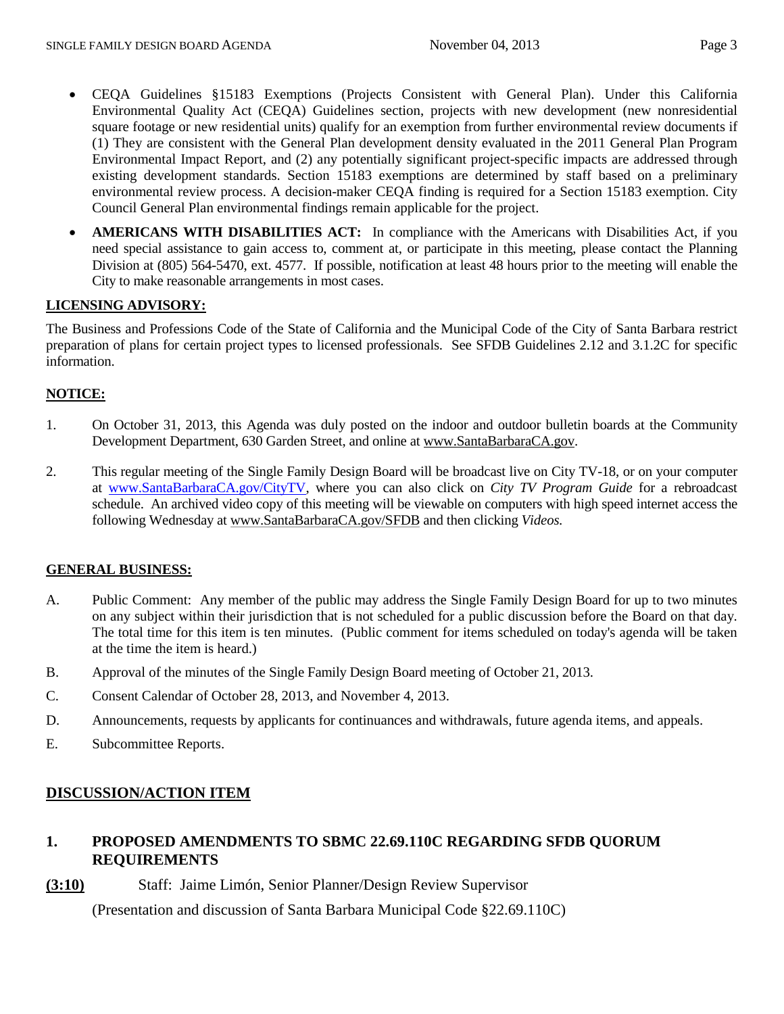- CEQA Guidelines §15183 Exemptions (Projects Consistent with General Plan). Under this California Environmental Quality Act (CEQA) Guidelines section, projects with new development (new nonresidential square footage or new residential units) qualify for an exemption from further environmental review documents if (1) They are consistent with the General Plan development density evaluated in the 2011 General Plan Program Environmental Impact Report, and (2) any potentially significant project-specific impacts are addressed through existing development standards. Section 15183 exemptions are determined by staff based on a preliminary environmental review process. A decision-maker CEQA finding is required for a Section 15183 exemption. City Council General Plan environmental findings remain applicable for the project.
- **AMERICANS WITH DISABILITIES ACT:** In compliance with the Americans with Disabilities Act, if you need special assistance to gain access to, comment at, or participate in this meeting, please contact the Planning Division at (805) 564-5470, ext. 4577. If possible, notification at least 48 hours prior to the meeting will enable the City to make reasonable arrangements in most cases.

## **LICENSING ADVISORY:**

The Business and Professions Code of the State of California and the Municipal Code of the City of Santa Barbara restrict preparation of plans for certain project types to licensed professionals. See SFDB Guidelines 2.12 and 3.1.2C for specific information.

### **NOTICE:**

- 1. On October 31, 2013, this Agenda was duly posted on the indoor and outdoor bulletin boards at the Community Development Department, 630 Garden Street, and online at [www.SantaBarbaraCA.gov.](http://www.santabarbaraca.gov/)
- 2. This regular meeting of the Single Family Design Board will be broadcast live on City TV-18, or on your computer at [www.SantaBarbaraCA.gov/CityTV,](http://www.santabarbaraca.gov/CityTV) where you can also click on *City TV Program Guide* for a rebroadcast schedule. An archived video copy of this meeting will be viewable on computers with high speed internet access the following Wednesday at [www.SantaBarbaraCA.gov/SFDB](http://www.santabarbaraca.gov/SFDB) and then clicking *Videos.*

### **GENERAL BUSINESS:**

- A. Public Comment: Any member of the public may address the Single Family Design Board for up to two minutes on any subject within their jurisdiction that is not scheduled for a public discussion before the Board on that day. The total time for this item is ten minutes. (Public comment for items scheduled on today's agenda will be taken at the time the item is heard.)
- B. Approval of the minutes of the Single Family Design Board meeting of October 21, 2013.
- C. Consent Calendar of October 28, 2013, and November 4, 2013.
- D. Announcements, requests by applicants for continuances and withdrawals, future agenda items, and appeals.
- E. Subcommittee Reports.

## **DISCUSSION/ACTION ITEM**

## **1. PROPOSED AMENDMENTS TO SBMC 22.69.110C REGARDING SFDB QUORUM REQUIREMENTS**

**(3:10)** Staff: Jaime Limón, Senior Planner/Design Review Supervisor

(Presentation and discussion of Santa Barbara Municipal Code §22.69.110C)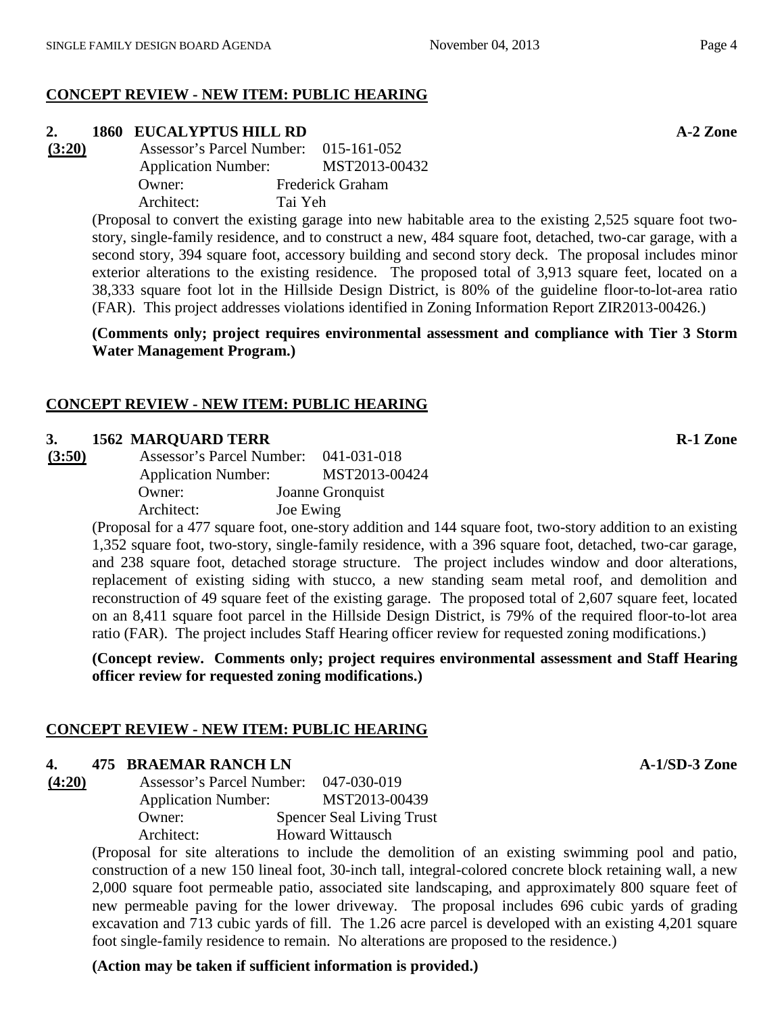## **CONCEPT REVIEW - NEW ITEM: PUBLIC HEARING**

## **2. 1860 EUCALYPTUS HILL RD A-2 Zone**

**(3:20)** Assessor's Parcel Number: 015-161-052 Application Number: MST2013-00432 Owner: Frederick Graham Architect: Tai Yeh

> (Proposal to convert the existing garage into new habitable area to the existing 2,525 square foot twostory, single-family residence, and to construct a new, 484 square foot, detached, two-car garage, with a second story, 394 square foot, accessory building and second story deck. The proposal includes minor exterior alterations to the existing residence. The proposed total of 3,913 square feet, located on a 38,333 square foot lot in the Hillside Design District, is 80% of the guideline floor-to-lot-area ratio (FAR). This project addresses violations identified in Zoning Information Report ZIR2013-00426.)

> **(Comments only; project requires environmental assessment and compliance with Tier 3 Storm Water Management Program.)**

## **CONCEPT REVIEW - NEW ITEM: PUBLIC HEARING**

## **3. 1562 MARQUARD TERR R-1 Zone**

| (3:50) | Assessor's Parcel Number: 041-031-018 |                  |
|--------|---------------------------------------|------------------|
|        | <b>Application Number:</b>            | MST2013-00424    |
|        | Owner:                                | Joanne Gronquist |
|        | Architect:                            | Joe Ewing        |

(Proposal for a 477 square foot, one-story addition and 144 square foot, two-story addition to an existing 1,352 square foot, two-story, single-family residence, with a 396 square foot, detached, two-car garage, and 238 square foot, detached storage structure. The project includes window and door alterations, replacement of existing siding with stucco, a new standing seam metal roof, and demolition and reconstruction of 49 square feet of the existing garage. The proposed total of 2,607 square feet, located on an 8,411 square foot parcel in the Hillside Design District, is 79% of the required floor-to-lot area ratio (FAR). The project includes Staff Hearing officer review for requested zoning modifications.)

**(Concept review. Comments only; project requires environmental assessment and Staff Hearing officer review for requested zoning modifications.)**

## **CONCEPT REVIEW - NEW ITEM: PUBLIC HEARING**

## **4. 475 BRAEMAR RANCH LN A-1/SD-3 Zone**

**(4:20)** Assessor's Parcel Number: 047-030-019 Application Number: MST2013-00439 Owner: Spencer Seal Living Trust Architect: Howard Wittausch

(Proposal for site alterations to include the demolition of an existing swimming pool and patio, construction of a new 150 lineal foot, 30-inch tall, integral-colored concrete block retaining wall, a new 2,000 square foot permeable patio, associated site landscaping, and approximately 800 square feet of new permeable paving for the lower driveway. The proposal includes 696 cubic yards of grading excavation and 713 cubic yards of fill. The 1.26 acre parcel is developed with an existing 4,201 square foot single-family residence to remain. No alterations are proposed to the residence.)

**(Action may be taken if sufficient information is provided.)**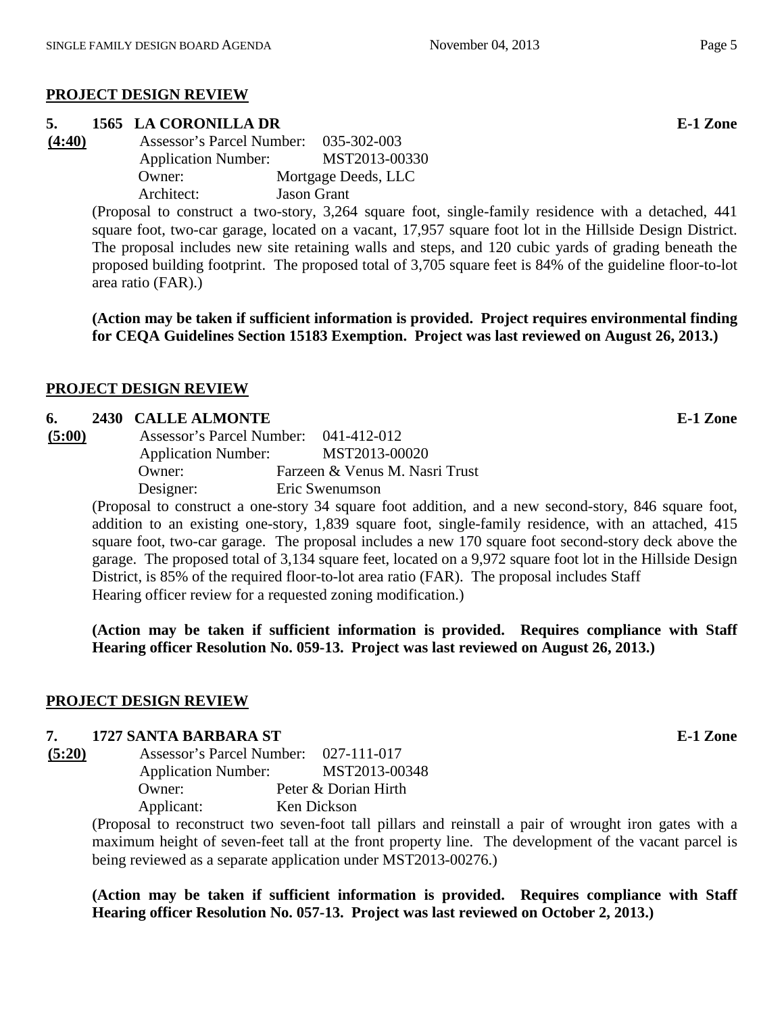### **PROJECT DESIGN REVIEW**

# **5. 1565 LA CORONILLA DR E-1 Zone**

| (4:40) | Assessor's Parcel Number:  | 035-302-003         |
|--------|----------------------------|---------------------|
|        | <b>Application Number:</b> | MST2013-00330       |
|        | Owner:                     | Mortgage Deeds, LLC |
|        | Architect:                 | <b>Jason Grant</b>  |

(Proposal to construct a two-story, 3,264 square foot, single-family residence with a detached, 441 square foot, two-car garage, located on a vacant, 17,957 square foot lot in the Hillside Design District. The proposal includes new site retaining walls and steps, and 120 cubic yards of grading beneath the proposed building footprint. The proposed total of 3,705 square feet is 84% of the guideline floor-to-lot area ratio (FAR).)

**(Action may be taken if sufficient information is provided. Project requires environmental finding for CEQA Guidelines Section 15183 Exemption. Project was last reviewed on August 26, 2013.)**

## **PROJECT DESIGN REVIEW**

### **6. 2430 CALLE ALMONTE E-1 Zone**

| (5:00) | <b>Assessor's Parcel Number:</b> | 041-412-012                    |
|--------|----------------------------------|--------------------------------|
|        | <b>Application Number:</b>       | MST2013-00020                  |
|        | Owner:                           | Farzeen & Venus M. Nasri Trust |
|        | Designer:                        | Eric Swenumson                 |

(Proposal to construct a one-story 34 square foot addition, and a new second-story, 846 square foot, addition to an existing one-story, 1,839 square foot, single-family residence, with an attached, 415 square foot, two-car garage. The proposal includes a new 170 square foot second-story deck above the garage. The proposed total of 3,134 square feet, located on a 9,972 square foot lot in the Hillside Design District, is 85% of the required floor-to-lot area ratio (FAR). The proposal includes Staff Hearing officer review for a requested zoning modification.)

**(Action may be taken if sufficient information is provided. Requires compliance with Staff Hearing officer Resolution No. 059-13. Project was last reviewed on August 26, 2013.)**

### **PROJECT DESIGN REVIEW**

### **7. 1727 SANTA BARBARA ST E-1 Zone**

| (5:20) | Assessor's Parcel Number: 027-111-017 |                      |
|--------|---------------------------------------|----------------------|
|        | <b>Application Number:</b>            | MST2013-00348        |
|        | Owner:                                | Peter & Dorian Hirth |
|        | Applicant:                            | Ken Dickson          |

(Proposal to reconstruct two seven-foot tall pillars and reinstall a pair of wrought iron gates with a maximum height of seven-feet tall at the front property line. The development of the vacant parcel is being reviewed as a separate application under MST2013-00276.)

**(Action may be taken if sufficient information is provided. Requires compliance with Staff Hearing officer Resolution No. 057-13. Project was last reviewed on October 2, 2013.)**